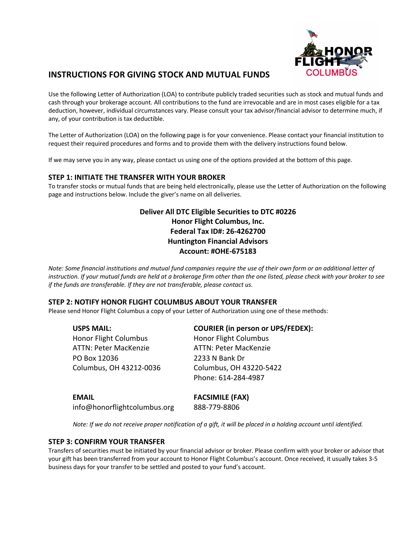

## **INSTRUCTIONS FOR GIVING STOCK AND MUTUAL FUNDS**

Use the following Letter of Authorization (LOA) to contribute publicly traded securities such as stock and mutual funds and cash through your brokerage account. All contributions to the fund are irrevocable and are in most cases eligible for a tax deduction, however, individual circumstances vary. Please consult your tax advisor/financial advisor to determine much, if any, of your contribution is tax deductible.

The Letter of Authorization (LOA) on the following page is for your convenience. Please contact your financial institution to request their required procedures and forms and to provide them with the delivery instructions found below.

If we may serve you in any way, please contact us using one of the options provided at the bottom of this page.

#### **STEP 1: INITIATE THE TRANSFER WITH YOUR BROKER**

To transfer stocks or mutual funds that are being held electronically, please use the Letter of Authorization on the following page and instructions below. Include the giver's name on all deliveries.

### **Deliver All DTC Eligible Securities to DTC #0226 Honor Flight Columbus, Inc. Federal Tax ID#: 26-4262700 Huntington Financial Advisors Account: #OHE-675183**

*Note: Some financial institutions and mutual fund companies require the use of their own form or an additional letter of instruction. If your mutual funds are held at a brokerage firm other than the one listed, please check with your broker to see if the funds are transferable. If they are not transferable, please contact us.*

#### **STEP 2: NOTIFY HONOR FLIGHT COLUMBUS ABOUT YOUR TRANSFER**

Please send Honor Flight Columbus a copy of your Letter of Authorization using one of these methods:

| <b>USPS MAIL:</b>            | <b>COURIER (in person or UPS/FEDEX):</b> |  |
|------------------------------|------------------------------------------|--|
| <b>Honor Flight Columbus</b> | <b>Honor Flight Columbus</b>             |  |
| <b>ATTN: Peter MacKenzie</b> | <b>ATTN: Peter MacKenzie</b>             |  |
| PO Box 12036                 | 2233 N Bank Dr                           |  |
| Columbus, OH 43212-0036      | Columbus, OH 43220-5422                  |  |
|                              | Phone: 614-284-4987                      |  |
| <b>EMAIL</b>                 | <b>FACSIMILE (FAX)</b>                   |  |
| info@honorflightcolumbus.org | 888-779-8806                             |  |

*Note: If we do not receive proper notification of a gift, it will be placed in a holding account until identified.*

#### **STEP 3: CONFIRM YOUR TRANSFER**

Transfers of securities must be initiated by your financial advisor or broker. Please confirm with your broker or advisor that your gift has been transferred from your account to Honor Flight Columbus's account. Once received, it usually takes 3-5 business days for your transfer to be settled and posted to your fund's account.